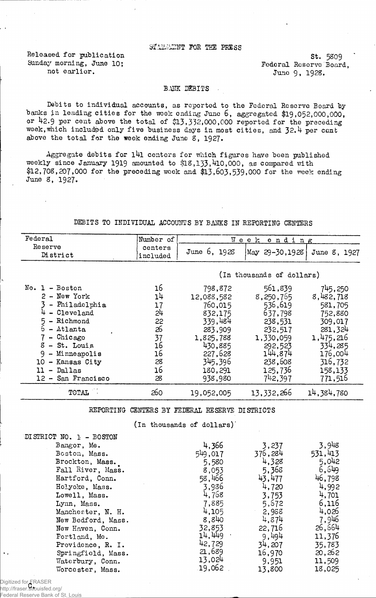## STATEMINT FOR THE PRESS

Released for publication 5t. 5309<br>Sunday morning, June 10; Sunday Federal Reserve Board

y morning, June 10;<br>not earlier.<br> $\frac{1}{2}$  and earlier.<br> $\frac{1}{2}$  and earlier. June 9. 1928.

#### BANK DEBITS

Debits to individual accounts, as reported to the Federal Reserve Board by banks in leading cities for the week ending June 6, aggregated \$19,052,000,000, or 42.9 per cent above the total of \$13,332,000,000 reported for the preceding week, which included only five business days in most cities, and 32.4 per cent above the total for the week ending June  $8$ , 1927.

Aggregate debits for  $141$  centers for which figures have been published weekly since January 1919 amounted to \$18,133,410,000, as compared with \$12,708,207,000 for the preceding week and \$13,603,539,000 for the week ending June 8, 1927.

### DEBITS TO INDIVIDUAL ACCOUNTS BY BAMS IN REPORTING CENTERS

| Federal                                                                                                                                                                                                  | Number of                                                      | Week<br>ending                                                                                                             |                                                                                                                           |                                                                                                                           |  |
|----------------------------------------------------------------------------------------------------------------------------------------------------------------------------------------------------------|----------------------------------------------------------------|----------------------------------------------------------------------------------------------------------------------------|---------------------------------------------------------------------------------------------------------------------------|---------------------------------------------------------------------------------------------------------------------------|--|
| Reserve<br>District                                                                                                                                                                                      | centers<br>included                                            | June 6, 1928                                                                                                               | $\text{May } 29 - 30,1928$                                                                                                | June 8, 1927                                                                                                              |  |
|                                                                                                                                                                                                          |                                                                |                                                                                                                            | (In thousands of dollars)                                                                                                 |                                                                                                                           |  |
| $No. 1 - Boston$<br>2 - New York<br>- Philadelphia<br>$4 -$ Cleveland<br>5 - Richmond<br>$6 - \text{Atlanta}$<br>- Chicago<br>8 - St. Louis<br>- Minneapolis<br>9.<br>- Kansas City<br>10<br>11 - Dallas | 16<br>14<br>17<br>24<br>22<br>26<br>37<br>16<br>16<br>28<br>16 | 798,872<br>12,088,582<br>760,015<br>832,175<br>339,484<br>283,909<br>1,825,788<br>430,885<br>227,628<br>345,396<br>180,291 | 561,839<br>8,250,755<br>536,619<br>637,798<br>238,531<br>232,517<br>1,330,059<br>292,523<br>144,874<br>238,608<br>125,736 | 745,250<br>8,482,718<br>581,705<br>752,880<br>309,017<br>281,324<br>1,475,216<br>334,285<br>176,004<br>316,732<br>158,133 |  |
| 12 - San Francisco                                                                                                                                                                                       | 28                                                             | 938,980                                                                                                                    | 742,397                                                                                                                   | 771,516                                                                                                                   |  |
| TOTAL                                                                                                                                                                                                    | 260                                                            | 19,052,005                                                                                                                 | 13,332,266                                                                                                                | 14,384,780                                                                                                                |  |

REPORTING CENTERS BY FEDERAL RESERVE DISTRICTS

 $($ In thousands of dollars $)$ 

| DISTRICT NO. 1 - BOSTON |         |         |         |
|-------------------------|---------|---------|---------|
| Bangor, Me.             | 4,366   | 3,237   | 3,948   |
| Boston, Mass.           | 549,017 | 376,284 | 531,413 |
| Brockton, Mass.         | 5,580   | 4,328   | 5,042   |
| Fall River, Mass.       | 8,053   | 5,368   | 6,649   |
| Hartford, Conn.         | 58,466  | 43,477  | 46,798  |
| Holyoke, Mass.          | 3,936   | 4,720   | 4,992   |
| Lowell, Mass.           | 4,768   | 3,753   | 4,701   |
| Lynn, Mass.             | 7,885   | 5,672   | 6,116   |
| Manchester, N. H.       | 4,105   | 2,988   | 4,026   |
| New Bedford, Mass.      | 8,840   | 4.874   | 7,946   |
| New Haven, Conn.        | 32,853  | 22,716  | 26,664  |
| Portland, Me.           | 14.449  | 9,494   | 11,376  |
| Providence, R. I.       | 42,729  | 34,207  | 35,783  |
| Springfield, Mass.      | 21,689  | 16,970  | 20,262  |
| Waterbury, Conn.        | 13,024  | 9,951   | 11,509  |
| Worcester, Mass.        | .19,062 | 13,800  | 18,025  |

Digitized for FRASER<br>http://fraser.**e**thurisfed. http://fraser.stlouisfed.org/

Federal Reserve Bank of St. Louis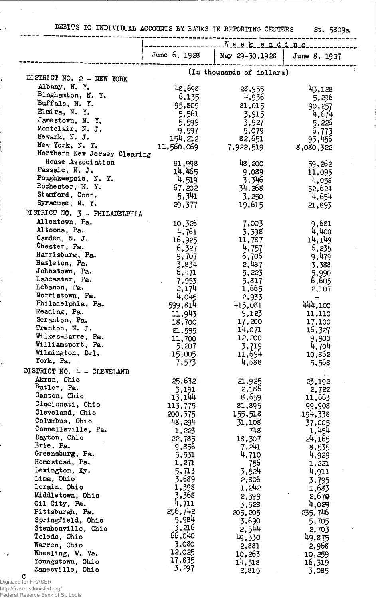DEBITS TO INDIVIDUAL ACCOUNTS BY BANKS IN REPORTING CENTERS St. 5809a

|                                       | Neekending        |                           |                   |
|---------------------------------------|-------------------|---------------------------|-------------------|
|                                       | June 6, 1928      | May 29-30, 1928           | June 8, 1927      |
| DISTRICT NO. 2 - NEW YORK             |                   | (In thousands of dollars) |                   |
| Albany, N.Y.                          |                   |                           |                   |
| Binghamton, N.Y.                      | 48,698<br>6,135   | 28,955<br>4,936           | 43,128            |
| Buffalo, N.Y.                         | 95,809            | 81,015                    | 5,296             |
| Elmira, N.Y.                          | 5,561             | 3,915                     | 90,257<br>4,674   |
| Jamestown, N.Y.                       | 5,599             | 3,927                     | 5,226             |
| Montclair, N. J.                      | 9,597             | 5,079                     | 6,773             |
| Newark, N. J.                         | 154, 212          | 82,651                    | 93,456            |
| New York, N. Y.                       | 11,560,069        | 7,922,519                 | 8,080,322         |
| Northern New Jersey Clearing          |                   |                           |                   |
| House Association                     | 81,998            | 48,200                    | 59,262            |
| Passaic, N. J.                        | 14,465            | 9,089                     | 11,095            |
| Poughkeepsie, N.Y.                    | 4,519             | 3,346                     | 4,058             |
| Rochester, N.Y.<br>Stamford, Conn.    | 67,202            | 34,268                    | 52,624            |
| Syracuse, N.Y.                        | 5,341             | 3,250                     | 4,654             |
|                                       | 29,377            | 19,615                    | 21,893            |
| DISTRICT NO. 3 - PHILADELPHIA         |                   |                           |                   |
| Allentown, Pa.                        | 10,326            | 7,003                     | 9,681             |
| Altoona, Pa.<br>Camden, N. J.         | 4,761             | 3,398                     | 4,400             |
| Chester, Pa.                          | 16,925            | 11,787                    | 14,149            |
| Harrisburg, Pa.                       | 6,327             | 4,757                     | 6,235             |
| Hazleton, Pa.                         | 9,707<br>3,834    | 6,706<br>2,487            | 9,479             |
| Johnstown, Pa.                        | 6,471             | 5,223                     | 3,388<br>5,990    |
| Lancaster, Pa.                        | 7,953             | 5,817                     | 6,605             |
| Lebanon, Pa.                          | 2,174             | 1,665                     | 2,107             |
| Norristown, Pa.                       | 4,045             | 2,933                     |                   |
| Philadelphia, Pa.                     | 599,814           | 415,081                   | 444,100           |
| Reading, Pa.                          | 11,943            | 9,123                     | 11,110            |
| Scranton, Pa.                         | 18,700            | 17,200                    | 17,100            |
| Trenton, N. J.                        | 21,595            | 14,071                    | 16,327            |
| Wilkes-Barre, Pa.                     | 11,700            | 12,200                    | 9,900             |
| Williamsport, Pa.<br>Wilmington, Del. | 5,207             | 3,719                     | 4,704             |
| York, Pa.                             | 15,005            | 11,694<br>4,688           | 10,862            |
|                                       | 7,573             |                           | 5,568             |
| DISTRICT NO. 4 - CLEVELAND            |                   |                           |                   |
| Akron, Ohio<br>Butler, Pa.            | 25,632            | 21,925                    | 23,192            |
| Canton, Ohio                          | 3,191             | 2,186                     | 2,722             |
| Cincinnati, Ohio                      | 13,144<br>113,775 | 8,659<br>81,895           | 11,663            |
| Cleveland, Ohio                       | 200,375           | 155,518                   | 99,908<br>194,338 |
| Columbus, Ohio                        | 48,294            | 31,108                    | 37,005            |
| Connellsville, Pa.                    | 1,223             | 748                       | 1,454             |
| Dayton, Ohio                          | 22,785            | 18,307                    | 24,165            |
| Erie, Pa.                             | 9,856             | 7,241                     | 8,535             |
| Greensburg, Pa.                       | 5,531             | 4,710                     | 4,929             |
| Homestead, Pa.                        | 1,271             | 756                       | 1,221             |
| Lexington, Ky.                        | 5,713             | 3,524                     | 4,911             |
| Lima, Ohio                            | 3,689             | 2,806                     | 3,795             |
| Lorain, Ohio                          | 1,398             | 1,242                     | 1,683             |
| Middletown, Ohio                      | 3,368<br>4,711    | 2,399                     | 2,670             |
| Oil City, Pa.<br>Pittsburgh, Pa.      | 256,742           | 3,528                     | 4,029             |
| Springfield, Ohio                     | 5,984             | 205, 205                  | 235,746           |
| Steubenville, Ohio                    | 3,216             | 3,690                     | 5,705             |
| Toledo, Ohio                          | 66,040            | 2,544<br>49,330           | 2,703<br>49,875   |
| Warren, Ohio                          | 3,080             | 2,881                     | 2,968             |
| Wheeling, W. Va.                      | 12,025            | 10,263                    | 10,259            |
| Youngstown, Ohio                      | 17,835            | 14,518                    | 16,319            |
| Zanesville, Ohio                      | 3.297             | 2,815                     | 3,085             |

http://fraser.stlouisfed.org/ Federal Reserve Bank of St. Louis

 $\bar{\mathcal{A}}$ 

-----

j.

ρķ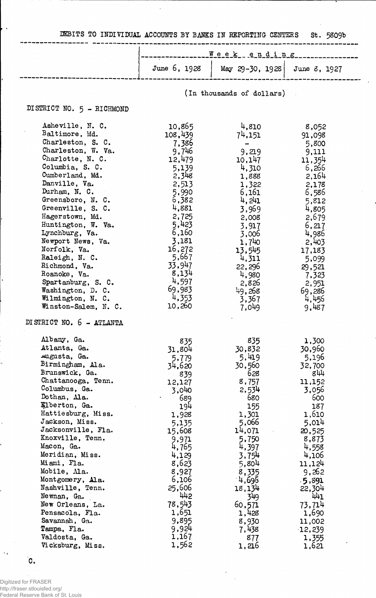MBITS TO INDIVIDUAL ACCOUNTS BY BANKS IN REPORTING CENTERS St. 5809b

|  | $\underline{\mathbf{W}}$ e e k e n d i n g |                                               |
|--|--------------------------------------------|-----------------------------------------------|
|  |                                            | June 6, 1928   May 29-30, 1928   June 8, 1927 |
|  |                                            |                                               |

(In thousands of dollars)

# DISTRICT NO. 5 - RICHMOND

| Asheville, N. C.          | 10,865  | 4,810       | 8,052     |
|---------------------------|---------|-------------|-----------|
| Baltimore, Md.            | 108,439 | 74,151      | 91,098    |
| Charleston, S. C.         | 7,386   |             | 5,800     |
| Charleston, W. Va.        | 9,746   | 9,219       | 9,111     |
| Charlotte, N. C.          | 12,479  | 10,147      | 11,354    |
| Columbia, S. C.           | 5,139   | 4,310       | 6,266     |
| Cumberland, Md.           | 2,348   | 1,888       | 2,164     |
| Danville, Va.             | 2,513   | 1,322       | 2,178     |
| Durham, N. C.             | 5,990   | 6,161       | 6,586     |
| Greensboro, N. C.         | 6,382   | $\mu$ , 241 | 5,812     |
| Greenville, S. C.         | 4,881   | 3,969       | 4,805     |
| Hagerstown, Md.           | 2,725   | 2,008       | 2,679     |
| Huntington, W. Va.        | 5,423   | 3,917       | 6,217     |
| Lynchburg, Va.            | 6,160   | 3,006       | 4,986     |
| Newport News, Va.         | 3,181   | 1,740       | 2,403     |
| Norfolk, Va.              | 16,272  | 13,545      | 17,183    |
| Raleigh, N. C.            | 5,667   | 4,311       | 5,099     |
| Richmond, Va.             | 33,947  | 22,296      | 29,521    |
| Roanoke, Va.              | 8,134   | 4,980       | 7,323     |
| Spartanburg, S. C.        | 4,597   | 2,826       | 2,951     |
| Washington, D. C.         | 69,983  | 49,268      | 69,286    |
| Wilmington, N. C.         | 4,353   | 3,367       | 4,456     |
| Winston-Salem, N. C.      | 10,260  | 7,049       | 9,487     |
| DI STRICT NO. 6 - ATLANTA |         |             |           |
| Albany, Ga.               | 835     | 835         | 1,300     |
| Atlanta, Ga.              | 31,804  | 30,832      | 30,960    |
| Augusta, Ga.              | 5,779   | 5,419       | 5,196     |
| Birmingham, Ala.          | 34,620  | 30,560      | 32,700    |
| Brunswick, Ga.            | 839     | 628         | 844       |
| Chattanooga, Tenn.        | 12,127  | 8,757       | 11,152    |
| Columbus, Ga.             | 3,040   | 2,534       | 3,056     |
| Dothan, Ala.              | 689     | 680         | 600       |
| Elberton, Ga.             | 194     | 155         | 187       |
| Hattiesburg, Miss.        | 1,928   | 1,301       | 1,610     |
| Jackson, Miss.            | 5,135   | 5,066       | 5,014     |
| Jacksonville, Fla.        | 15,608  | 14,071      | 20,525    |
| Knoxville, Tenn.          | 9,971   | 5,750       | 8,873     |
| Macon, Ga.                | 4,765   | 4,397       | 4,558     |
| Meridian, Miss.           | 4,129   | 3,754       | 4,106     |
| Miami, Fla.               | 8,623   | 5,804       | 11,124    |
| Mobile, Ma.               | 8,927   | 8,335       | 9,262     |
| Montgomery, Ala.          | 6,106   | $-4,696$    | 5,891     |
| Nashville, Tenn.          | 25,606  | 18,134      | 22,304    |
| Newnan, Ga.               | 442     | 349         | 441       |
| New Orleans, La.          | 78,543  | 60,571      | 73,714    |
| Pensacola, Fla.           | 1,651   | 1,428       | 1,690     |
| Savannah, Ga.             | 9,895   | 8,930       | 11,002    |
| Tampa, Fla.               | 9,924   | 7,438       | $-12,239$ |
| Valdosta, Ga.             | 1,167   | 877         | 1,355     |
| Vicksburg, Miss.          | 1,562   | 1,216       | 1,621     |
|                           |         |             |           |

C.

k,

Digitized for FRASER http://fraser.stlouisfed.org/ Federal Reserve Bank of St. Louis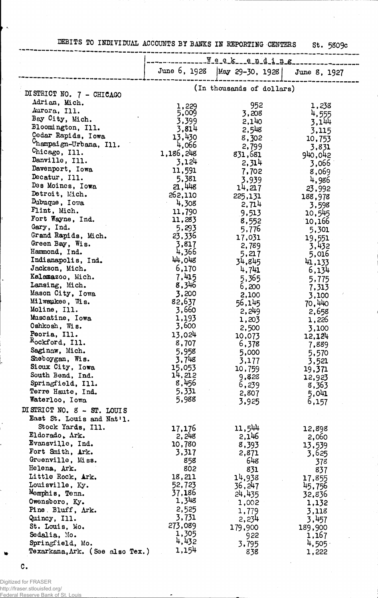|  | DEBITS TO INDIVIDUAL ACCOUNTS BY BANKS IN REPORTING CENTER " |  |  |
|--|--------------------------------------------------------------|--|--|

 $\overline{a}$ 

St. 5809c

|                                                | Week_ending               |                                                     |                  |  |
|------------------------------------------------|---------------------------|-----------------------------------------------------|------------------|--|
|                                                | June 6, 1928              | $\begin{vmatrix} May & 29-30, & 1928 \end{vmatrix}$ | June 8, 1927     |  |
| DISTRICT NO. 7 - CHICAGO                       | (In thousands of dollars) |                                                     |                  |  |
| Adrian, Mich.                                  |                           | 952                                                 | 1,238            |  |
| Aurora, Ill.                                   | 1,229<br>5,009            | 3,208                                               | 4,555            |  |
| Bay City, Mich.                                | 3,399                     | 2,140                                               | 3,144            |  |
| Bloomington, Ill.                              | 3,814                     | 2,548                                               | 3,115            |  |
| Cedar Rapids, Iowa                             | 13,430                    | 8,302                                               | 10,753           |  |
| <sup>C</sup> hampaign-Urbana, Ill.             | 4,066                     | 2,799                                               | 3,831            |  |
| Chicago, Ill.                                  | 1,186,248                 | 831,681                                             | 940,042          |  |
| Danville, Ill.                                 | 3,124                     | 2,314                                               | 3,066            |  |
| Davenport, Iowa                                | 11,591                    | 7,702                                               | 8,069            |  |
| Decatur, Ill.                                  | 5,381                     | 3,939                                               | 4,986            |  |
| Des Moines, Iowa                               | 21,448                    | 14,217                                              | 23,992           |  |
| Detroit, Mich.<br>Dubuque, Iowa                | 262,110                   | 225,131                                             | 188,978          |  |
| Flint, Mich.                                   | 4,308<br>11,790           | 2,714                                               | 3,598            |  |
| Fort Wayne, Ind.                               | 11,283                    | 9,513                                               | 10,545           |  |
| Gary, Ind.                                     | 5,293                     | 8,552<br>5,776                                      | 10,166<br>5,301  |  |
| Grand Rapids, Mich.                            | 23,336                    | 17,031                                              | 19,551           |  |
| Green Bay, Wis.                                | 3,817                     | 2,789                                               | 3,432            |  |
| Hammond, Ind.                                  | 4,366                     | 5,217                                               | 5,016            |  |
| Indianapolis, Ind.                             | 44,048                    | 34,845                                              | 41,133           |  |
| Jackson, Mich.                                 | 6,170                     | 4,741                                               | 6,134            |  |
| Kalamazoo, Mich.                               | 7,415                     | 5,365                                               | 5,775            |  |
| Lansing, Mich.                                 | 8,346                     | 6,200                                               | 7,313            |  |
| Mason City, Iowa                               | 3,200                     | 2,100                                               | 3,100            |  |
| Milwaukee, Wis.<br>Moline, Ill.                | 82,637<br>3,660           | 56,145                                              | 70,440           |  |
| Muscatine, Iowa                                | 1,193                     | 2,249                                               | 2,658            |  |
| Oshkosh, Wis.                                  | 3,600                     | 1,203                                               | 1,226            |  |
| Peoria, Ill.                                   | 13,024                    | 2,500<br>10,073                                     | 3,100<br>12,124  |  |
| Rockford, Ill.                                 | 8,707                     | 6,378                                               | 7,889            |  |
| Saginaw, Mich.                                 | 5,958                     | 5,000                                               | 5,570            |  |
| Sheboygan, Wis.                                | 3,748                     | 3,177                                               | 3,521            |  |
| Sioux City, Iowa                               | 15,053                    | 10,759                                              | 19,371           |  |
| South Bend, Ind.                               | 14,212                    | 9,828                                               | 12,923           |  |
| Springfield, Ill.                              | 8,456                     | 6,239                                               | 8,363            |  |
| Terre Haute, Ind.<br>Waterloo, Iowa            | 5,331<br>5,988            | 2,807                                               | 5.041            |  |
|                                                |                           | 3,925                                               | 6,157            |  |
| DISTRICT NO. 8 - ST. LOUIS                     |                           |                                                     |                  |  |
| East St. Louis and Nat'l.<br>Stock Yards, Ill. |                           |                                                     |                  |  |
| Eldorado, Ark.                                 | 17,176<br>2,248           | 11,544<br>2,146                                     | 12,898           |  |
| Evansville, Ind.                               | 10,780                    | 8,393                                               | 2,060<br>13,539  |  |
| Fort Smith, Ark.                               | 3,317                     | 2,871                                               | 3,625            |  |
| Greenville, Miss.                              | 858                       | 648                                                 | 378              |  |
| Helena, Ark.                                   | 802                       | 831                                                 | 837              |  |
| Little Rock, Ark.                              | 18,211                    | 14,938                                              | 17,855           |  |
| Louisville, Ky.                                | 52,723                    | 36, 247                                             | 45,756           |  |
| Momphis, Tenn.                                 | 37,186                    | 24,435                                              | 32,836           |  |
| Owensboro, Ky.                                 | 1,348                     | 1,002                                               | 1,132            |  |
| Pine Bluff, Ark.                               | 2,525<br>3,731            | 1,779                                               | 3,118            |  |
| Quincy, Ill.<br>St. Louis, Mo.                 | 273,089                   | 2,234                                               | 3,457            |  |
| Sedalia, Mo.                                   | 1,305                     | 179,900<br>922                                      | 189,900<br>1,167 |  |
| Springfield, Mo.                               | 4,432                     | 3,795                                               | 4,505            |  |
| Texarkana, Ark. (See also Tex.)                | 1,154                     | 838                                                 | 1,222            |  |

 $\mathbf{C}$ .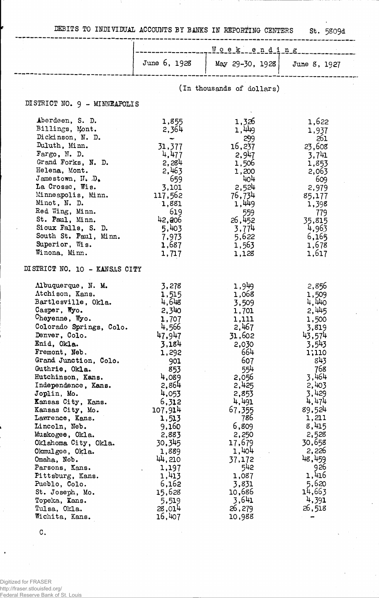DEBITS TO INDIVIDUAL ACCOUNTS BY BANKS IN REPORTING CENTERS St. 5809d

Ţ

|                                                                                                                                                                                                                                                                                                                                                                                                                                                                                                                                                                          |                                                                                                                                                                                                                                                                       | Wcek ending                                                                                                                                                                                                                                                    |                                                                                                                                                                                                                                                          |
|--------------------------------------------------------------------------------------------------------------------------------------------------------------------------------------------------------------------------------------------------------------------------------------------------------------------------------------------------------------------------------------------------------------------------------------------------------------------------------------------------------------------------------------------------------------------------|-----------------------------------------------------------------------------------------------------------------------------------------------------------------------------------------------------------------------------------------------------------------------|----------------------------------------------------------------------------------------------------------------------------------------------------------------------------------------------------------------------------------------------------------------|----------------------------------------------------------------------------------------------------------------------------------------------------------------------------------------------------------------------------------------------------------|
|                                                                                                                                                                                                                                                                                                                                                                                                                                                                                                                                                                          | June 6, 1928                                                                                                                                                                                                                                                          | May 29-30, 1928                                                                                                                                                                                                                                                | June 8, 1927                                                                                                                                                                                                                                             |
|                                                                                                                                                                                                                                                                                                                                                                                                                                                                                                                                                                          |                                                                                                                                                                                                                                                                       | (In thousands of dollars)                                                                                                                                                                                                                                      |                                                                                                                                                                                                                                                          |
| DISTRICT NO. 9 - MINNEAPOLIS                                                                                                                                                                                                                                                                                                                                                                                                                                                                                                                                             |                                                                                                                                                                                                                                                                       |                                                                                                                                                                                                                                                                |                                                                                                                                                                                                                                                          |
| Aberdeen, S. D.<br>Billings, Mont.<br>Dickinson, N. D.<br>Duluth, Minn.<br>Fargo, N. D.<br>Grand Forks, N. D.<br>Helena, Mont.<br>Jamestown, $N - D_0$<br>La Crosse, Wis.<br>Minneapolis, Minn.<br>Minot, N. D.<br>Red Wing, Minn.<br>St. Paul, Minn.<br>Sioux Falls, S. D.<br>South St. Paul, Minn.<br>Superior, Wis.<br>Winona, Minn.                                                                                                                                                                                                                                  | 1,855<br>2,364<br>31,377<br>4,477<br>2,284<br>2,463<br>- 659<br>3,101<br>117,562<br>1,881<br>619<br>42,206<br>5,403<br>7,973<br>1,687<br>1,717                                                                                                                        | 1,326<br>1,449<br>299<br>16,237<br>2,947<br>1,506<br>1,200<br>404<br>2,524<br>76,734<br>1,449<br>559<br>26, 452<br>3,774<br>5,622<br>1,563<br>1,128                                                                                                            | 1,622<br>1,937<br>261<br>23,608<br>3,741<br>1,853<br>2,063<br>- 609<br>2,979<br>85,177<br>1,398<br>779<br>35,815<br>4,963<br>6,165<br>1,678<br>1,617                                                                                                     |
| DISTRICT NO. 10 - KANSAS CITY                                                                                                                                                                                                                                                                                                                                                                                                                                                                                                                                            |                                                                                                                                                                                                                                                                       |                                                                                                                                                                                                                                                                |                                                                                                                                                                                                                                                          |
| Albuquerque, N. M.<br>Atchison, Kans.<br>Bartlesville, Okla.<br>Casper, Wyo.<br>Cheyenne, Wyo.<br>Colorado Springs, Colo.<br>Denver, Colo.<br>Enid, Okla.<br>Fremont, Neb.<br>Grand Junction, Colo.<br>Guthrie, Okla.<br>Hutchinson, Kans.<br>Independence, Kans.<br>Joplin, Mo.<br>Kansas City, Kans.<br>Kansas City, Mo.<br>Lawrence, Kans.<br>Lincoln, Neb.<br>Muskogee, Okla.<br>Oklahoma City, Okla.<br>Okmulgee, Okla.<br>Omaha, Neb.<br>Parsons, Kans.<br>Pittsburg, Kans.<br>Pueblo, Colo.<br>St. Joseph, Mo.<br>Topeka, Kans.<br>Tulsa, Okla.<br>Wichita, Kans. | 3,278<br>1,515<br>4,648<br>2,340<br>1,707<br>4,566<br>47,947<br>3,184<br>1,292<br>901<br>853<br>4,089<br>2,864<br>4,053<br>6,312<br>107,914<br>1,513<br>9,160<br>2,883<br>30,345<br>1,889<br>44,210<br>1,197<br>1,413<br>6,162<br>15,628<br>5,519<br>28,014<br>16,407 | 1,949<br>1,068<br>3,509<br>1,701<br>1,111<br>2,467<br>31,602<br>2,030<br>664<br>607<br>554<br>2,056<br>2,425<br>2,853<br>4,491<br>67,355<br>786<br>6,809<br>2,250<br>17,679<br>1,404<br>37,172<br>542<br>1,087<br>3,831<br>10,686<br>3,641<br>26,279<br>10,988 | 2,856<br>1,509<br>4,440<br>2,445<br>1,500<br>3,819<br>43,574<br>3,543<br>1,110<br>843<br>768<br>3,464<br>2,403<br>3,429<br>4,474<br>89,524<br>1,211<br>8,415<br>2,528<br>30,658<br>2,226<br>48,459<br>926<br>1,416<br>5,620<br>14,663<br>4,391<br>26,518 |

 $\mathtt{C}$  .

j,

Digitized for FRASER http://fraser.stlouisfed.org/ Federal Reserve Bank of St. Louis